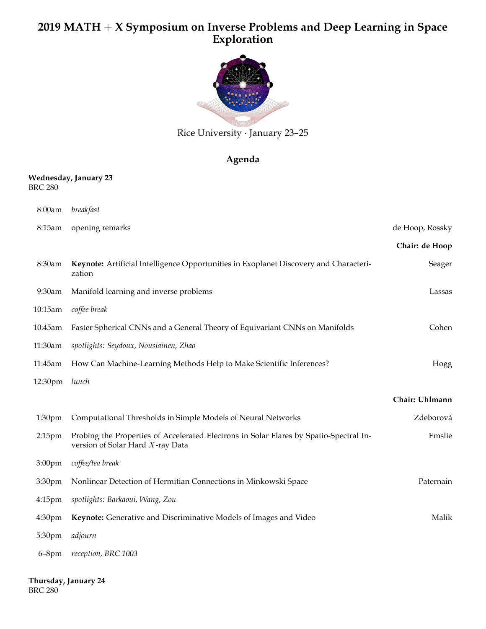## **2019 MATH** + **X Symposium on Inverse Problems and Deep Learning in Space Exploration**



Rice University *·* January 23–25

## **Agenda**

## **Wednesday, January 23** BRC 280

| 8:00am             | breakfast                                                                                                                  |                 |
|--------------------|----------------------------------------------------------------------------------------------------------------------------|-----------------|
| 8:15am             | opening remarks                                                                                                            | de Hoop, Rossky |
|                    |                                                                                                                            | Chair: de Hoop  |
| 8:30am             | Keynote: Artificial Intelligence Opportunities in Exoplanet Discovery and Characteri-<br>zation                            | Seager          |
| 9:30am             | Manifold learning and inverse problems                                                                                     | Lassas          |
| 10:15am            | coffee break                                                                                                               |                 |
| 10:45am            | Faster Spherical CNNs and a General Theory of Equivariant CNNs on Manifolds                                                | Cohen           |
| 11:30am            | spotlights: Seydoux, Nousiainen, Zhao                                                                                      |                 |
| 11:45am            | How Can Machine-Learning Methods Help to Make Scientific Inferences?                                                       | Hogg            |
| 12:30pm            | lunch                                                                                                                      |                 |
|                    |                                                                                                                            | Chair: Uhlmann  |
| 1:30 <sub>pm</sub> | Computational Thresholds in Simple Models of Neural Networks                                                               | Zdeborová       |
| 2:15pm             | Probing the Properties of Accelerated Electrons in Solar Flares by Spatio-Spectral In-<br>version of Solar Hard X-ray Data | Emslie          |
| 3:00pm             | coffee/tea break                                                                                                           |                 |
| 3:30pm             | Nonlinear Detection of Hermitian Connections in Minkowski Space                                                            | Paternain       |
| $4:15$ pm          | spotlights: Barkaoui, Wang, Zou                                                                                            |                 |
| 4:30pm             | Keynote: Generative and Discriminative Models of Images and Video                                                          | Malik           |
| 5:30pm             | adjourn                                                                                                                    |                 |
| $6-8$ pm           | reception, BRC 1003                                                                                                        |                 |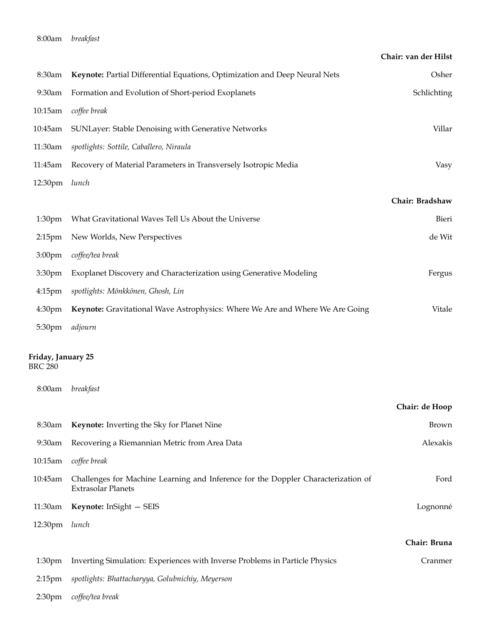|                                                |                                                                                                                | Chair: van der Hilst |
|------------------------------------------------|----------------------------------------------------------------------------------------------------------------|----------------------|
| 8:30am                                         | Keynote: Partial Differential Equations, Optimization and Deep Neural Nets                                     | Osher                |
| 9:30am                                         | Formation and Evolution of Short-period Exoplanets                                                             | Schlichting          |
| 10:15am                                        | coffee break                                                                                                   |                      |
| 10:45am                                        | SUNLayer: Stable Denoising with Generative Networks                                                            | Villar               |
| 11:30am                                        | spotlights: Sottile, Caballero, Niraula                                                                        |                      |
| 11:45am                                        | Recovery of Material Parameters in Transversely Isotropic Media                                                | Vasy                 |
| 12:30pm                                        | lunch                                                                                                          |                      |
|                                                |                                                                                                                | Chair: Bradshaw      |
| 1:30 <sub>pm</sub>                             | What Gravitational Waves Tell Us About the Universe                                                            | Bieri                |
| $2:15$ pm                                      | New Worlds, New Perspectives                                                                                   | de Wit               |
| 3:00 <sub>pm</sub>                             | coffee/tea break                                                                                               |                      |
| 3:30 <sub>pm</sub>                             | Exoplanet Discovery and Characterization using Generative Modeling                                             | Fergus               |
| $4:15$ pm                                      | spotlights: Mönkkönen, Ghosh, Lin                                                                              |                      |
| 4:30 <sub>pm</sub>                             | Keynote: Gravitational Wave Astrophysics: Where We Are and Where We Are Going                                  | Vitale               |
| 5:30pm                                         | adjourn                                                                                                        |                      |
| Friday, January 25<br><b>BRC 280</b><br>8:00am | breakfast                                                                                                      |                      |
|                                                |                                                                                                                | Chair: de Hoop       |
| 8:30am                                         | Keynote: Inverting the Sky for Planet Nine                                                                     | Brown                |
| 9:30am                                         | Recovering a Riemannian Metric from Area Data                                                                  | Alexakis             |
| 10:15am                                        | coffee break                                                                                                   |                      |
| 10:45am                                        | Challenges for Machine Learning and Inference for the Doppler Characterization of<br><b>Extrasolar Planets</b> | Ford                 |
| 11:30am                                        | Keynote: InSight - SEIS                                                                                        | Lognonné             |
| 12:30pm                                        | lunch                                                                                                          |                      |
|                                                |                                                                                                                | Chair: Bruna         |
| 1:30 <sub>pm</sub>                             | Inverting Simulation: Experiences with Inverse Problems in Particle Physics                                    | Cranmer              |
| $2:15$ pm                                      | spotlights: Bhattacharyya, Golubnichiy, Meyerson                                                               |                      |